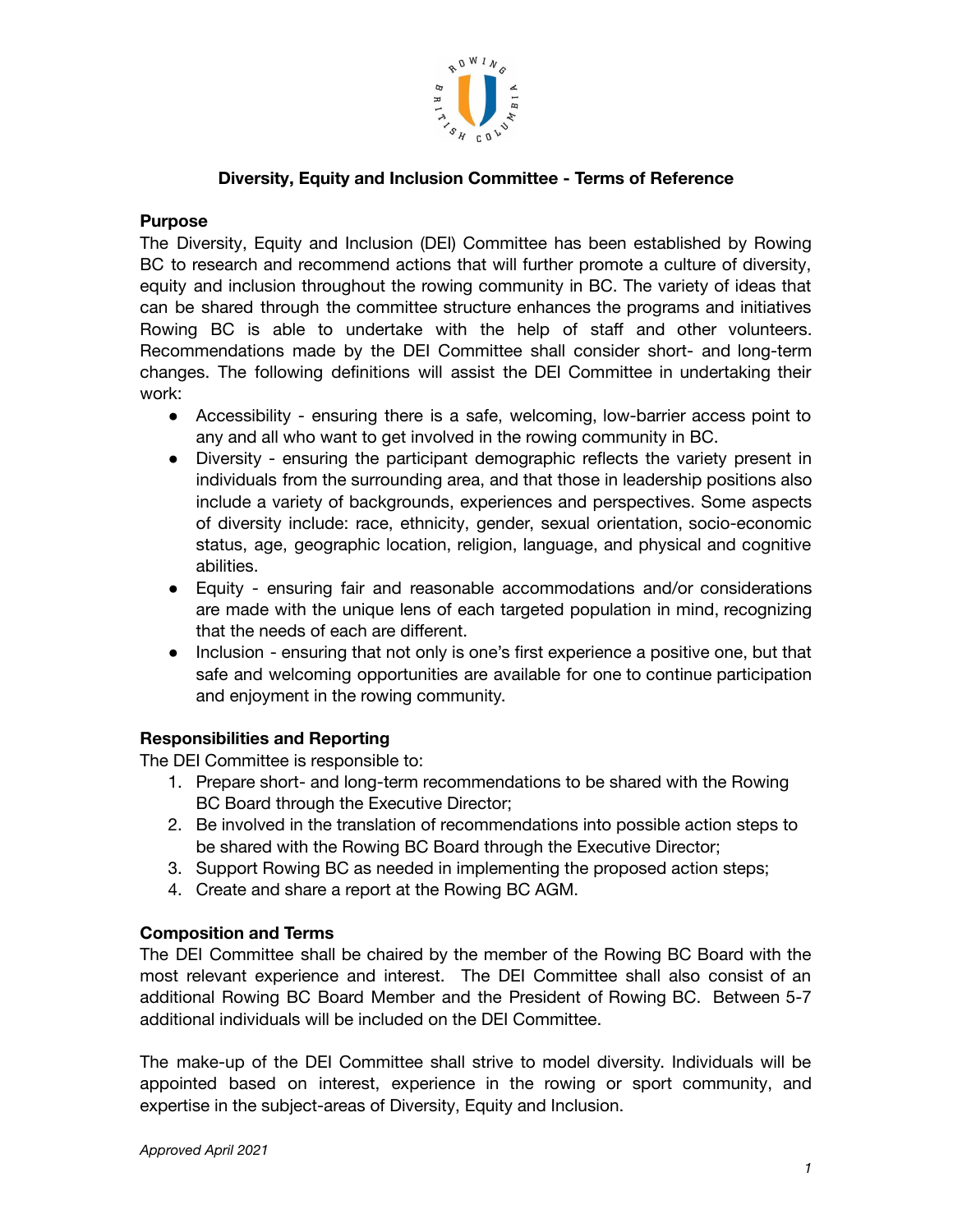

## **Diversity, Equity and Inclusion Committee - Terms of Reference**

#### **Purpose**

The Diversity, Equity and Inclusion (DEI) Committee has been established by Rowing BC to research and recommend actions that will further promote a culture of diversity, equity and inclusion throughout the rowing community in BC. The variety of ideas that can be shared through the committee structure enhances the programs and initiatives Rowing BC is able to undertake with the help of staff and other volunteers. Recommendations made by the DEI Committee shall consider short- and long-term changes. The following definitions will assist the DEI Committee in undertaking their work:

- Accessibility ensuring there is a safe, welcoming, low-barrier access point to any and all who want to get involved in the rowing community in BC.
- Diversity ensuring the participant demographic reflects the variety present in individuals from the surrounding area, and that those in leadership positions also include a variety of backgrounds, experiences and perspectives. Some aspects of diversity include: race, ethnicity, gender, sexual orientation, socio-economic status, age, geographic location, religion, language, and physical and cognitive abilities.
- Equity ensuring fair and reasonable accommodations and/or considerations are made with the unique lens of each targeted population in mind, recognizing that the needs of each are different.
- Inclusion ensuring that not only is one's first experience a positive one, but that safe and welcoming opportunities are available for one to continue participation and enjoyment in the rowing community.

## **Responsibilities and Reporting**

The DEI Committee is responsible to:

- 1. Prepare short- and long-term recommendations to be shared with the Rowing BC Board through the Executive Director;
- 2. Be involved in the translation of recommendations into possible action steps to be shared with the Rowing BC Board through the Executive Director;
- 3. Support Rowing BC as needed in implementing the proposed action steps;
- 4. Create and share a report at the Rowing BC AGM.

## **Composition and Terms**

The DEI Committee shall be chaired by the member of the Rowing BC Board with the most relevant experience and interest. The DEI Committee shall also consist of an additional Rowing BC Board Member and the President of Rowing BC. Between 5-7 additional individuals will be included on the DEI Committee.

The make-up of the DEI Committee shall strive to model diversity. Individuals will be appointed based on interest, experience in the rowing or sport community, and expertise in the subject-areas of Diversity, Equity and Inclusion.